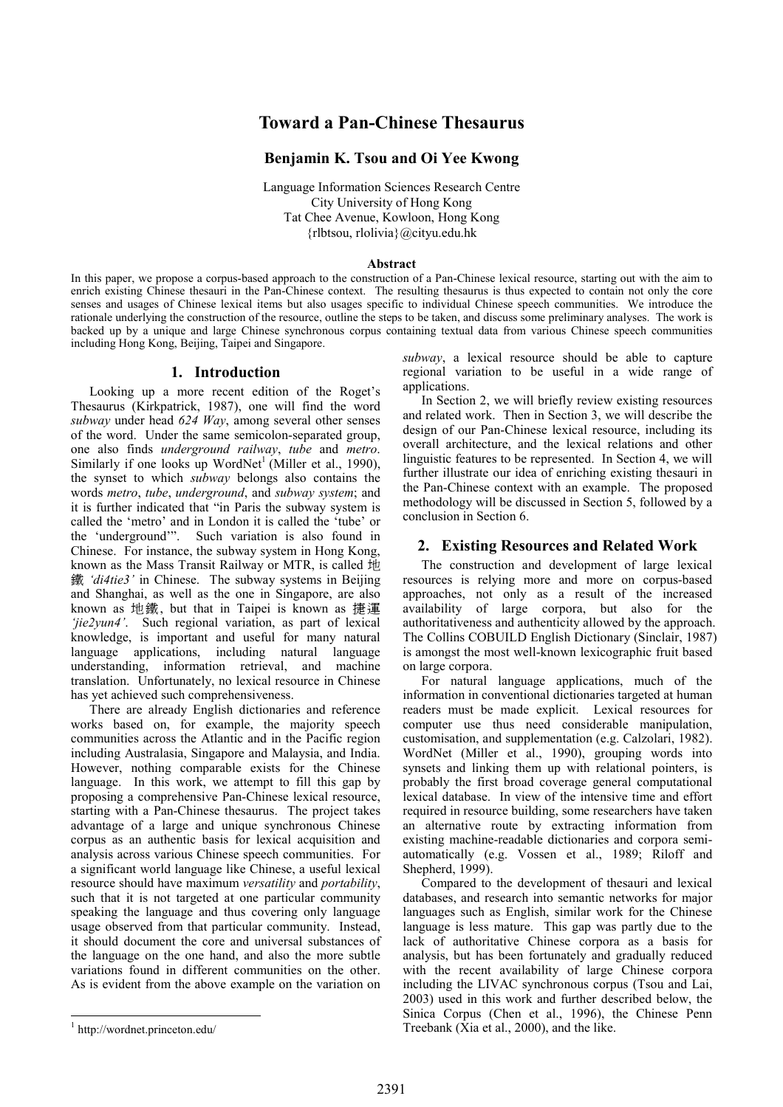# Toward a Pan-Chinese Thesaurus

## Benjamin K. Tsou and Oi Yee Kwong

Language Information Sciences Research Centre City University of Hong Kong Tat Chee Avenue, Kowloon, Hong Kong {rlbtsou, rlolivia}@cityu.edu.hk

#### Abstract

In this paper, we propose a corpus-based approach to the construction of a Pan-Chinese lexical resource, starting out with the aim to enrich existing Chinese thesauri in the Pan-Chinese context. The resulting thesaurus is thus expected to contain not only the core senses and usages of Chinese lexical items but also usages specific to individual Chinese speech communities. We introduce the rationale underlying the construction of the resource, outline the steps to be taken, and discuss some preliminary analyses. The work is backed up by a unique and large Chinese synchronous corpus containing textual data from various Chinese speech communities including Hong Kong, Beijing, Taipei and Singapore.

## 1. Introduction

Looking up a more recent edition of the Roget's Thesaurus (Kirkpatrick, 1987), one will find the word subway under head 624 Way, among several other senses of the word. Under the same semicolon-separated group, one also finds underground railway, tube and metro. Similarly if one looks up WordNet<sup>1</sup> (Miller et al., 1990), the synset to which subway belongs also contains the words metro, tube, underground, and subway system; and it is further indicated that "in Paris the subway system is called the 'metro' and in London it is called the 'tube' or the 'underground'". Such variation is also found in Chinese. For instance, the subway system in Hong Kong, known as the Mass Transit Railway or MTR, is called 地 鐵 'di4tie3' in Chinese. The subway systems in Beijing and Shanghai, as well as the one in Singapore, are also known as 地鐵, but that in Taipei is known as 捷運 'jie2yun4'. Such regional variation, as part of lexical knowledge, is important and useful for many natural language applications, including natural language understanding, information retrieval, and machine translation. Unfortunately, no lexical resource in Chinese has yet achieved such comprehensiveness.

There are already English dictionaries and reference works based on, for example, the majority speech communities across the Atlantic and in the Pacific region including Australasia, Singapore and Malaysia, and India. However, nothing comparable exists for the Chinese language. In this work, we attempt to fill this gap by proposing a comprehensive Pan-Chinese lexical resource, starting with a Pan-Chinese thesaurus. The project takes advantage of a large and unique synchronous Chinese corpus as an authentic basis for lexical acquisition and analysis across various Chinese speech communities. For a significant world language like Chinese, a useful lexical resource should have maximum versatility and portability, such that it is not targeted at one particular community speaking the language and thus covering only language usage observed from that particular community. Instead, it should document the core and universal substances of the language on the one hand, and also the more subtle variations found in different communities on the other. As is evident from the above example on the variation on

subway, a lexical resource should be able to capture regional variation to be useful in a wide range of applications.

In Section 2, we will briefly review existing resources and related work. Then in Section 3, we will describe the design of our Pan-Chinese lexical resource, including its overall architecture, and the lexical relations and other linguistic features to be represented. In Section 4, we will further illustrate our idea of enriching existing thesauri in the Pan-Chinese context with an example. The proposed methodology will be discussed in Section 5, followed by a conclusion in Section 6.

## 2. Existing Resources and Related Work

The construction and development of large lexical resources is relying more and more on corpus-based approaches, not only as a result of the increased availability of large corpora, but also for the authoritativeness and authenticity allowed by the approach. The Collins COBUILD English Dictionary (Sinclair, 1987) is amongst the most well-known lexicographic fruit based on large corpora.

For natural language applications, much of the information in conventional dictionaries targeted at human readers must be made explicit. Lexical resources for computer use thus need considerable manipulation, customisation, and supplementation (e.g. Calzolari, 1982). WordNet (Miller et al., 1990), grouping words into synsets and linking them up with relational pointers, is probably the first broad coverage general computational lexical database. In view of the intensive time and effort required in resource building, some researchers have taken an alternative route by extracting information from existing machine-readable dictionaries and corpora semiautomatically (e.g. Vossen et al., 1989; Riloff and Shepherd, 1999).

Compared to the development of thesauri and lexical databases, and research into semantic networks for major languages such as English, similar work for the Chinese language is less mature. This gap was partly due to the lack of authoritative Chinese corpora as a basis for analysis, but has been fortunately and gradually reduced with the recent availability of large Chinese corpora including the LIVAC synchronous corpus (Tsou and Lai, 2003) used in this work and further described below, the Sinica Corpus (Chen et al., 1996), the Chinese Penn Treebank (Xia et al., 2000), and the like.

 $\overline{a}$ 

<sup>1</sup> http://wordnet.princeton.edu/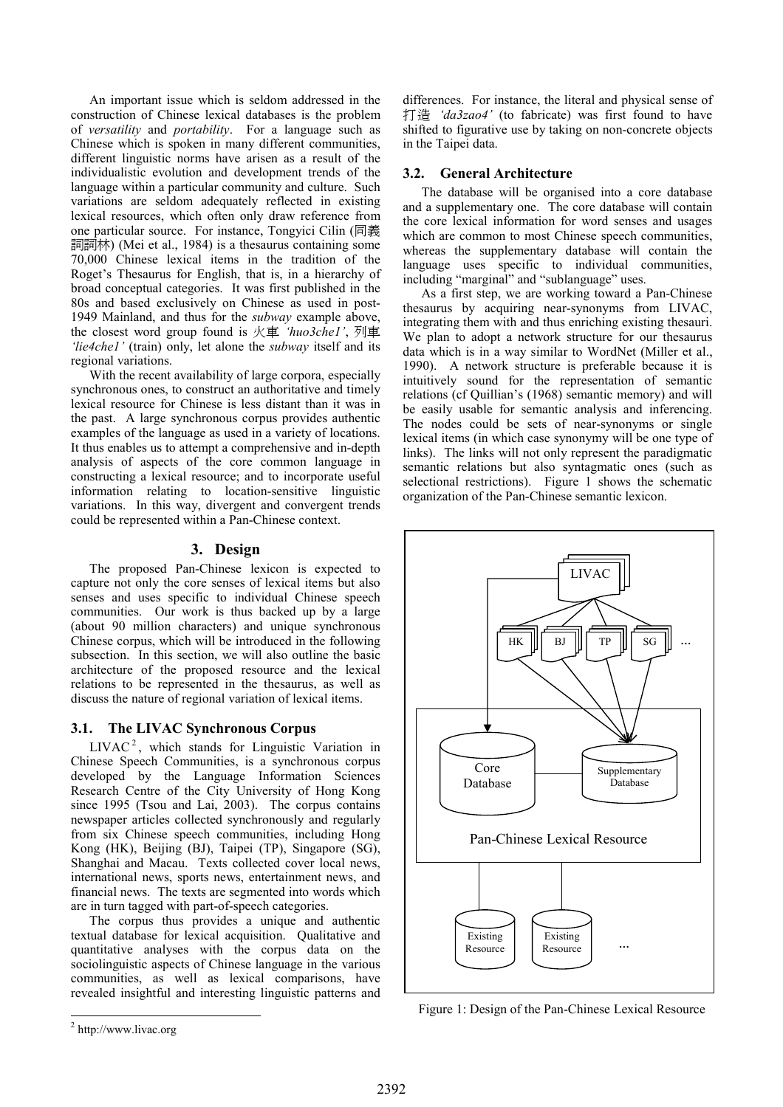An important issue which is seldom addressed in the construction of Chinese lexical databases is the problem of versatility and portability. For a language such as Chinese which is spoken in many different communities, different linguistic norms have arisen as a result of the individualistic evolution and development trends of the language within a particular community and culture. Such variations are seldom adequately reflected in existing lexical resources, which often only draw reference from one particular source. For instance, Tongyici Cilin (同義 詞詞林) (Mei et al., 1984) is a thesaurus containing some 70,000 Chinese lexical items in the tradition of the Roget's Thesaurus for English, that is, in a hierarchy of broad conceptual categories. It was first published in the 80s and based exclusively on Chinese as used in post-1949 Mainland, and thus for the subway example above, the closest word group found is 火車 'huo3che1', 列車 'lie4che1' (train) only, let alone the subway itself and its regional variations.

With the recent availability of large corpora, especially synchronous ones, to construct an authoritative and timely lexical resource for Chinese is less distant than it was in the past. A large synchronous corpus provides authentic examples of the language as used in a variety of locations. It thus enables us to attempt a comprehensive and in-depth analysis of aspects of the core common language in constructing a lexical resource; and to incorporate useful information relating to location-sensitive linguistic variations. In this way, divergent and convergent trends could be represented within a Pan-Chinese context.

### 3. Design

The proposed Pan-Chinese lexicon is expected to capture not only the core senses of lexical items but also senses and uses specific to individual Chinese speech communities. Our work is thus backed up by a large (about 90 million characters) and unique synchronous Chinese corpus, which will be introduced in the following subsection. In this section, we will also outline the basic architecture of the proposed resource and the lexical relations to be represented in the thesaurus, as well as discuss the nature of regional variation of lexical items.

## 3.1. The LIVAC Synchronous Corpus

 $LIVAC<sup>2</sup>$ , which stands for Linguistic Variation in Chinese Speech Communities, is a synchronous corpus developed by the Language Information Sciences Research Centre of the City University of Hong Kong since 1995 (Tsou and Lai, 2003). The corpus contains newspaper articles collected synchronously and regularly from six Chinese speech communities, including Hong Kong (HK), Beijing (BJ), Taipei (TP), Singapore (SG), Shanghai and Macau. Texts collected cover local news, international news, sports news, entertainment news, and financial news. The texts are segmented into words which are in turn tagged with part-of-speech categories.

The corpus thus provides a unique and authentic textual database for lexical acquisition. Qualitative and quantitative analyses with the corpus data on the sociolinguistic aspects of Chinese language in the various communities, as well as lexical comparisons, have revealed insightful and interesting linguistic patterns and

 $\overline{a}$ 

differences. For instance, the literal and physical sense of 打造 'da3zao4' (to fabricate) was first found to have shifted to figurative use by taking on non-concrete objects in the Taipei data.

### 3.2. General Architecture

The database will be organised into a core database and a supplementary one. The core database will contain the core lexical information for word senses and usages which are common to most Chinese speech communities, whereas the supplementary database will contain the language uses specific to individual communities, including "marginal" and "sublanguage" uses.

As a first step, we are working toward a Pan-Chinese thesaurus by acquiring near-synonyms from LIVAC, integrating them with and thus enriching existing thesauri. We plan to adopt a network structure for our thesaurus data which is in a way similar to WordNet (Miller et al., 1990). A network structure is preferable because it is intuitively sound for the representation of semantic relations (cf Quillian's (1968) semantic memory) and will be easily usable for semantic analysis and inferencing. The nodes could be sets of near-synonyms or single lexical items (in which case synonymy will be one type of links). The links will not only represent the paradigmatic semantic relations but also syntagmatic ones (such as selectional restrictions). Figure 1 shows the schematic organization of the Pan-Chinese semantic lexicon.



Figure 1: Design of the Pan-Chinese Lexical Resource

<sup>&</sup>lt;sup>2</sup> http://www.livac.org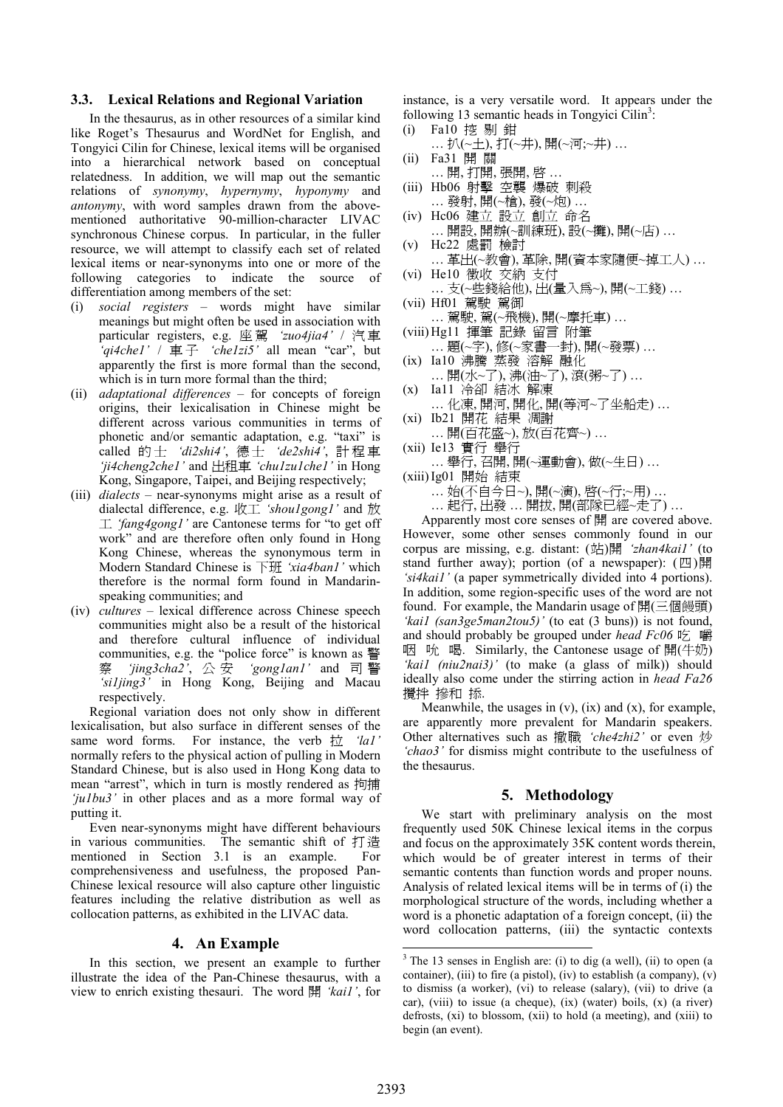#### 3.3. Lexical Relations and Regional Variation

In the thesaurus, as in other resources of a similar kind like Roget's Thesaurus and WordNet for English, and Tongyici Cilin for Chinese, lexical items will be organised into a hierarchical network based on conceptual relatedness. In addition, we will map out the semantic relations of synonymy, hypernymy, hyponymy and antonymy, with word samples drawn from the abovementioned authoritative 90-million-character LIVAC synchronous Chinese corpus. In particular, in the fuller resource, we will attempt to classify each set of related lexical items or near-synonyms into one or more of the following categories to indicate the source of differentiation among members of the set:

- (i) social registers words might have similar meanings but might often be used in association with particular registers, e.g. 座駕 'zuo4jia4' / 汽車 'qi4che1' /  $\equiv \pm$  'che1zi5' all mean "car", but apparently the first is more formal than the second, which is in turn more formal than the third;
- (ii) adaptational differences for concepts of foreign origins, their lexicalisation in Chinese might be different across various communities in terms of phonetic and/or semantic adaptation, e.g. "taxi" is called 的士 'di2shi4', 德士 'de2shi4', 計程車 'ji4cheng2che1' and 出租車 'chu1zu1che1' in Hong Kong, Singapore, Taipei, and Beijing respectively;
- (iii) dialects near-synonyms might arise as a result of dialectal difference, e.g. 收工 'shou1gong1' and 放  $\perp$  'fang4gong1' are Cantonese terms for "to get off" work" and are therefore often only found in Hong Kong Chinese, whereas the synonymous term in Modern Standard Chinese is 下班 'xia4ban1' which therefore is the normal form found in Mandarinspeaking communities; and
- (iv) cultures lexical difference across Chinese speech communities might also be a result of the historical and therefore cultural influence of individual communities, e.g. the "police force" is known as 警 察 'jing3cha2', 公 安 'gong1an1' and 司 警 'si1jing3' in Hong Kong, Beijing and Macau respectively.

Regional variation does not only show in different lexicalisation, but also surface in different senses of the same word forms. For instance, the verb  $\frac{1}{12}$  'lal' normally refers to the physical action of pulling in Modern Standard Chinese, but is also used in Hong Kong data to mean "arrest", which in turn is mostly rendered as 拘捕 'ju1bu3' in other places and as a more formal way of putting it.

Even near-synonyms might have different behaviours in various communities. The semantic shift of 打 造 mentioned in Section 3.1 is an example. For comprehensiveness and usefulness, the proposed Pan-Chinese lexical resource will also capture other linguistic features including the relative distribution as well as collocation patterns, as exhibited in the LIVAC data.

#### 4. An Example

In this section, we present an example to further illustrate the idea of the Pan-Chinese thesaurus, with a view to enrich existing thesauri. The word 開 'kai1', for instance, is a very versatile word. It appears under the following 13 semantic heads in Tongyici  $\text{Cilin}^3$ :

- (i) Fa10 挖 剔 鉗 … 扒(~土), 打(~井), 開(~河;~井) …
- (ii) Fa31 開 關 … 開, 打開, 張開, 啟 …
- (iii) Hb06 射擊 空襲 爆破 刺殺 … 發射, 開(~槍), 發(~炮) …
- (iv) Hc06 建立 設立 創立 命名 … 開設, 開辦(~訓練班), 設(~攤), 開(~店) …
- (v) Hc22 處罰 檢討
- … 革出(~教會), 革除, 開(資本家隨便~掉工人) … (vi) He10 徵收 交納 支付
- … 支(~些錢給他), 出(量入為~), 開(~工錢) … (vii) Hf01 駕駛 駕御
- … 駕駛, 駕(~飛機), 開(~摩托車) …
- (viii) Hg11 揮筆 記錄 留言 附筆
- … 題(~字), 修(~家書一封), 開(~發票) …
- (ix) Ia10 沸騰 蒸發 溶解 融化
- … 開(水~了), 沸(油~了), 滾(粥~了) … (x) Ia11 冷卻 結冰 解凍
- … 化凍, 開河, 開化, 開(等河~了坐船走) … (xi) Ib21 開花 結果 凋謝
- … 開(百花盛~), 放(百花齊~) … (xii) Ie13 實行 舉行
- … 舉行, 召開, 開(~運動會), 做(~生日) …
- (xiii)Ig01 開始 結束

… 始(不自今日~), 開(~演), 啟(~行;~用) …

… 起行, 出發 … 開拔, 開(部隊已經~走了) …

Apparently most core senses of 開 are covered above. However, some other senses commonly found in our corpus are missing, e.g. distant:  $(\#)\$   $\frac{1}{2}$  'zhan4kail' (to stand further away); portion (of a newspaper):  $(\mathbb{Z})$ 開 'si4kai1' (a paper symmetrically divided into 4 portions). In addition, some region-specific uses of the word are not found. For example, the Mandarin usage of 開(三個饅頭) 'kail (san3ge5man2tou5)' (to eat  $(3 \text{ buns})$ ) is not found, and should probably be grouped under head  $Fc06$  吃 嚼 咽 吮 喝. Similarly, the Cantonese usage of 開(牛奶) 'kai1 (niu2nai3)' (to make (a glass of milk)) should ideally also come under the stirring action in head Fa26 攪拌 摻和 掭.

Meanwhile, the usages in  $(v)$ ,  $(ix)$  and  $(x)$ , for example, are apparently more prevalent for Mandarin speakers. Other alternatives such as 撤職 'che4zhi2' or even 炒 'chao3' for dismiss might contribute to the usefulness of the thesaurus.

#### 5. Methodology

We start with preliminary analysis on the most frequently used 50K Chinese lexical items in the corpus and focus on the approximately 35K content words therein, which would be of greater interest in terms of their semantic contents than function words and proper nouns. Analysis of related lexical items will be in terms of (i) the morphological structure of the words, including whether a word is a phonetic adaptation of a foreign concept, (ii) the word collocation patterns, (iii) the syntactic contexts

 $\overline{a}$ 

 $3$  The 13 senses in English are: (i) to dig (a well), (ii) to open (a container), (iii) to fire (a pistol), (iv) to establish (a company),  $(v)$ to dismiss (a worker), (vi) to release (salary), (vii) to drive (a car), (viii) to issue (a cheque), (ix) (water) boils, (x) (a river) defrosts, (xi) to blossom, (xii) to hold (a meeting), and (xiii) to begin (an event).